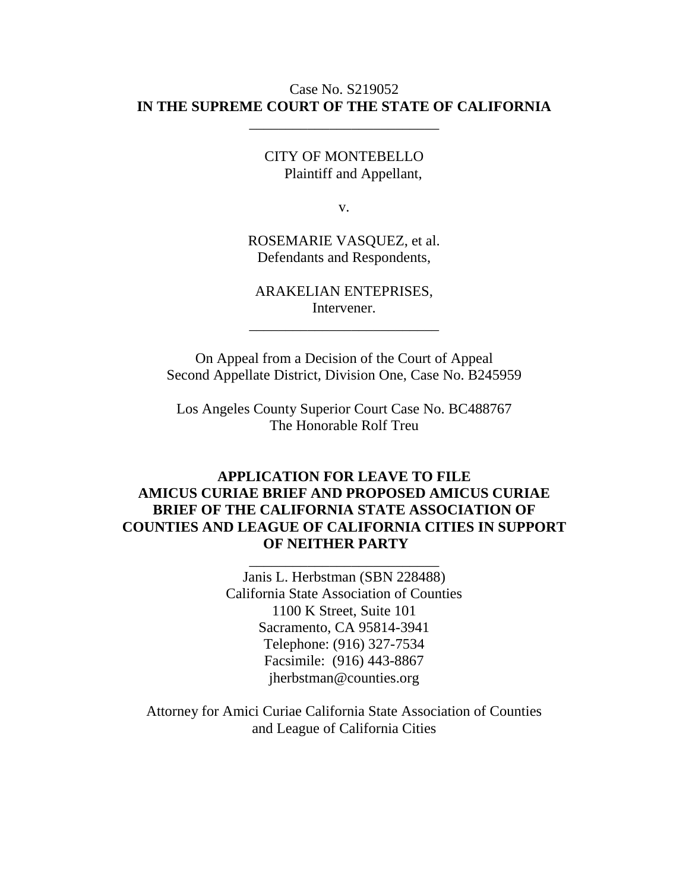#### Case No. S219052 **IN THE SUPREME COURT OF THE STATE OF CALIFORNIA**

\_\_\_\_\_\_\_\_\_\_\_\_\_\_\_\_\_\_\_\_\_\_\_\_\_\_

CITY OF MONTEBELLO Plaintiff and Appellant,

v.

ROSEMARIE VASQUEZ, et al. Defendants and Respondents,

ARAKELIAN ENTEPRISES, Intervener.

\_\_\_\_\_\_\_\_\_\_\_\_\_\_\_\_\_\_\_\_\_\_\_\_\_\_

On Appeal from a Decision of the Court of Appeal Second Appellate District, Division One, Case No. B245959

Los Angeles County Superior Court Case No. BC488767 The Honorable Rolf Treu

### **APPLICATION FOR LEAVE TO FILE AMICUS CURIAE BRIEF AND PROPOSED AMICUS CURIAE BRIEF OF THE CALIFORNIA STATE ASSOCIATION OF COUNTIES AND LEAGUE OF CALIFORNIA CITIES IN SUPPORT OF NEITHER PARTY**

\_\_\_\_\_\_\_\_\_\_\_\_\_\_\_\_\_\_\_\_\_\_\_\_\_\_

Janis L. Herbstman (SBN 228488) California State Association of Counties 1100 K Street, Suite 101 Sacramento, CA 95814-3941 Telephone: (916) 327-7534 Facsimile: (916) 443-8867 jherbstman@counties.org

Attorney for Amici Curiae California State Association of Counties and League of California Cities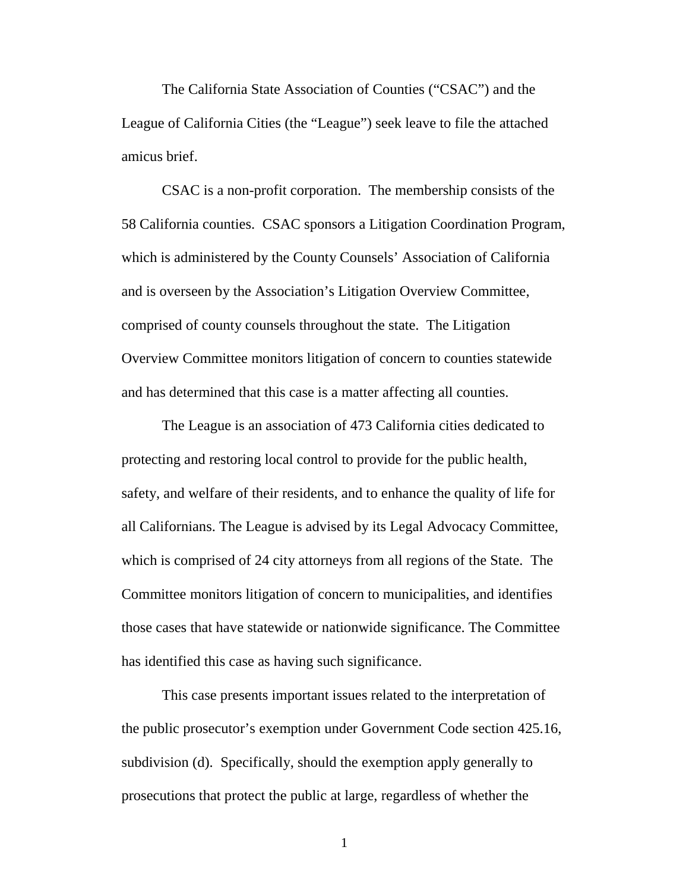The California State Association of Counties ("CSAC") and the League of California Cities (the "League") seek leave to file the attached amicus brief.

CSAC is a non-profit corporation. The membership consists of the 58 California counties. CSAC sponsors a Litigation Coordination Program, which is administered by the County Counsels' Association of California and is overseen by the Association's Litigation Overview Committee, comprised of county counsels throughout the state. The Litigation Overview Committee monitors litigation of concern to counties statewide and has determined that this case is a matter affecting all counties.

The League is an association of 473 California cities dedicated to protecting and restoring local control to provide for the public health, safety, and welfare of their residents, and to enhance the quality of life for all Californians. The League is advised by its Legal Advocacy Committee, which is comprised of 24 city attorneys from all regions of the State. The Committee monitors litigation of concern to municipalities, and identifies those cases that have statewide or nationwide significance. The Committee has identified this case as having such significance.

This case presents important issues related to the interpretation of the public prosecutor's exemption under Government Code section 425.16, subdivision (d). Specifically, should the exemption apply generally to prosecutions that protect the public at large, regardless of whether the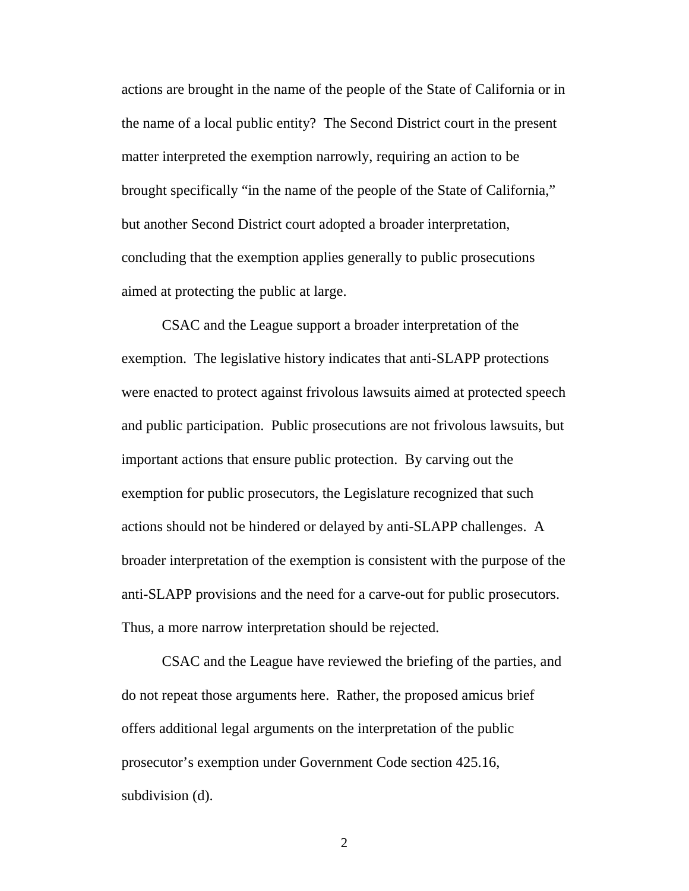actions are brought in the name of the people of the State of California or in the name of a local public entity? The Second District court in the present matter interpreted the exemption narrowly, requiring an action to be brought specifically "in the name of the people of the State of California," but another Second District court adopted a broader interpretation, concluding that the exemption applies generally to public prosecutions aimed at protecting the public at large.

CSAC and the League support a broader interpretation of the exemption. The legislative history indicates that anti-SLAPP protections were enacted to protect against frivolous lawsuits aimed at protected speech and public participation. Public prosecutions are not frivolous lawsuits, but important actions that ensure public protection. By carving out the exemption for public prosecutors, the Legislature recognized that such actions should not be hindered or delayed by anti-SLAPP challenges. A broader interpretation of the exemption is consistent with the purpose of the anti-SLAPP provisions and the need for a carve-out for public prosecutors. Thus, a more narrow interpretation should be rejected.

CSAC and the League have reviewed the briefing of the parties, and do not repeat those arguments here. Rather, the proposed amicus brief offers additional legal arguments on the interpretation of the public prosecutor's exemption under Government Code section 425.16, subdivision (d).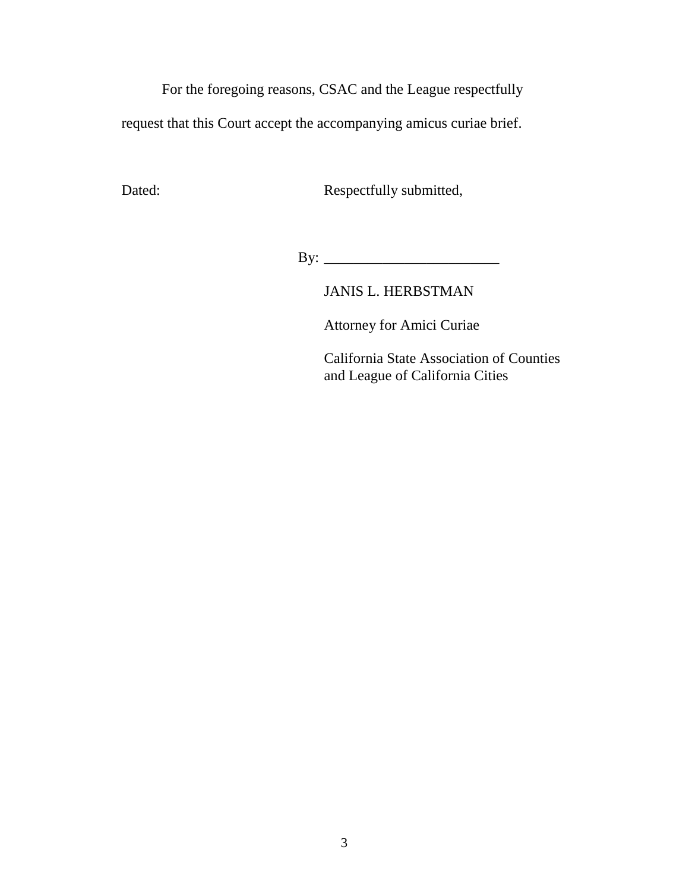For the foregoing reasons, CSAC and the League respectfully

request that this Court accept the accompanying amicus curiae brief.

Dated: Respectfully submitted,

By: \_\_\_\_\_\_\_\_\_\_\_\_\_\_\_\_\_\_\_\_\_\_\_\_

JANIS L. HERBSTMAN

Attorney for Amici Curiae

California State Association of Counties and League of California Cities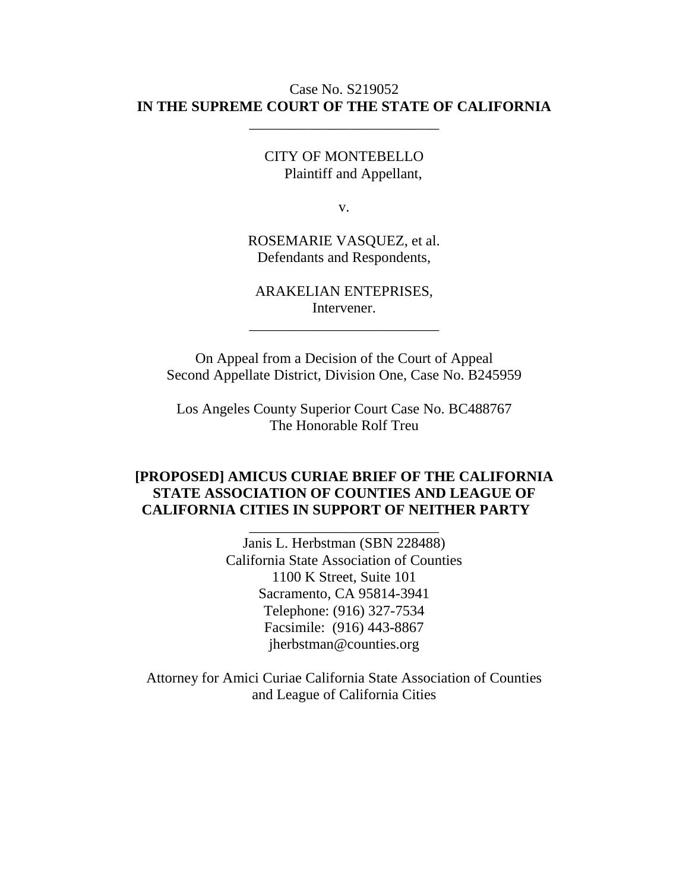#### Case No. S219052 **IN THE SUPREME COURT OF THE STATE OF CALIFORNIA**

\_\_\_\_\_\_\_\_\_\_\_\_\_\_\_\_\_\_\_\_\_\_\_\_\_\_

CITY OF MONTEBELLO Plaintiff and Appellant,

v.

ROSEMARIE VASQUEZ, et al. Defendants and Respondents,

ARAKELIAN ENTEPRISES, Intervener.

\_\_\_\_\_\_\_\_\_\_\_\_\_\_\_\_\_\_\_\_\_\_\_\_\_\_

On Appeal from a Decision of the Court of Appeal Second Appellate District, Division One, Case No. B245959

Los Angeles County Superior Court Case No. BC488767 The Honorable Rolf Treu

#### **[PROPOSED] AMICUS CURIAE BRIEF OF THE CALIFORNIA STATE ASSOCIATION OF COUNTIES AND LEAGUE OF CALIFORNIA CITIES IN SUPPORT OF NEITHER PARTY**

\_\_\_\_\_\_\_\_\_\_\_\_\_\_\_\_\_\_\_\_\_\_\_\_\_\_

Janis L. Herbstman (SBN 228488) California State Association of Counties 1100 K Street, Suite 101 Sacramento, CA 95814-3941 Telephone: (916) 327-7534 Facsimile: (916) 443-8867 jherbstman@counties.org

Attorney for Amici Curiae California State Association of Counties and League of California Cities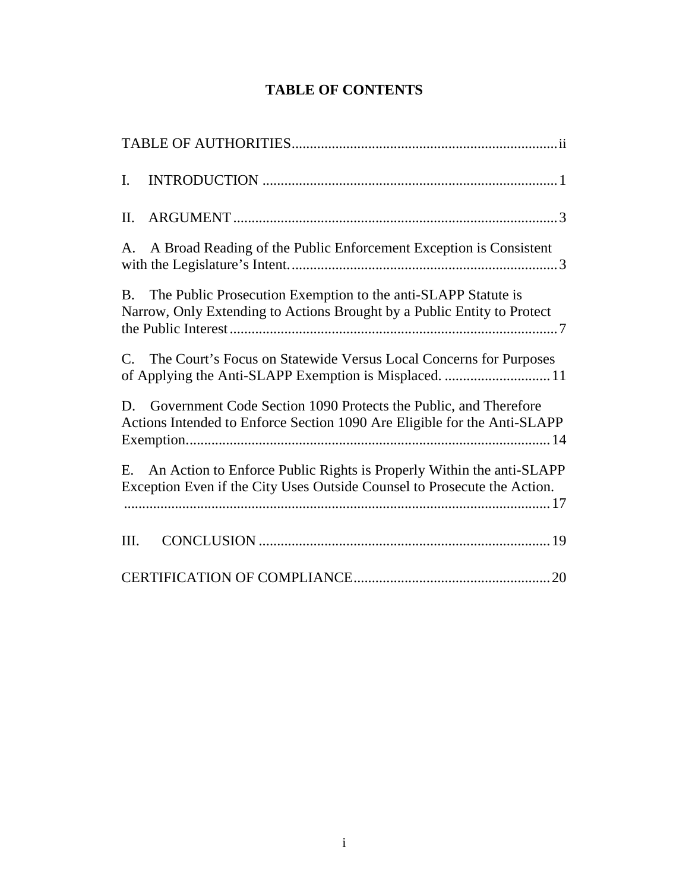# **TABLE OF CONTENTS**

| $\mathbf{I}$ . |                                                                                                                                                  |
|----------------|--------------------------------------------------------------------------------------------------------------------------------------------------|
| II.            |                                                                                                                                                  |
|                | A. A Broad Reading of the Public Enforcement Exception is Consistent                                                                             |
| <b>B.</b>      | The Public Prosecution Exemption to the anti-SLAPP Statute is<br>Narrow, Only Extending to Actions Brought by a Public Entity to Protect         |
| $C_{\cdot}$    | The Court's Focus on Statewide Versus Local Concerns for Purposes<br>of Applying the Anti-SLAPP Exemption is Misplaced.  11                      |
|                | D. Government Code Section 1090 Protects the Public, and Therefore<br>Actions Intended to Enforce Section 1090 Are Eligible for the Anti-SLAPP   |
| E.             | An Action to Enforce Public Rights is Properly Within the anti-SLAPP<br>Exception Even if the City Uses Outside Counsel to Prosecute the Action. |
| III.           |                                                                                                                                                  |
|                |                                                                                                                                                  |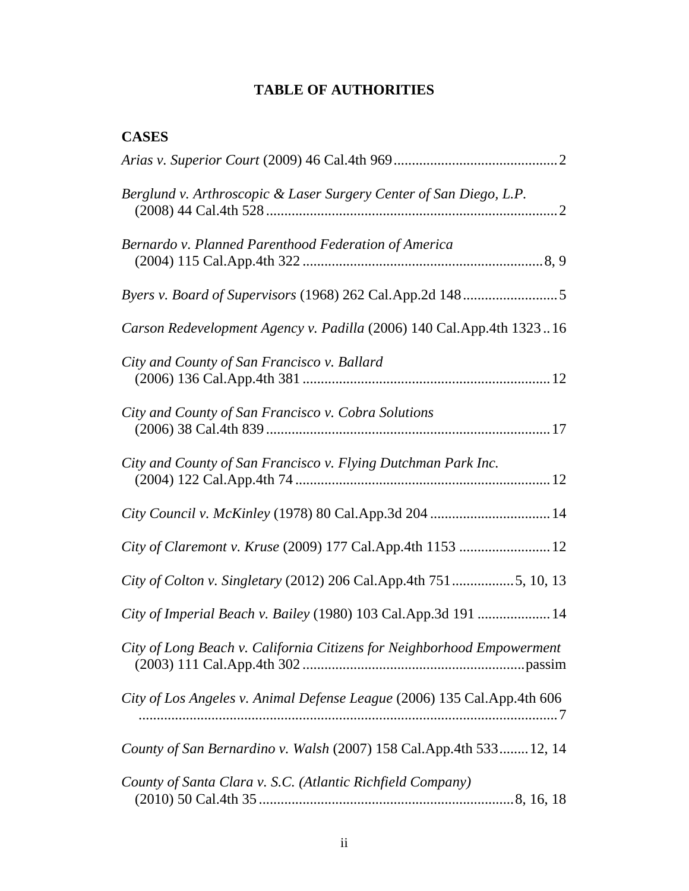## <span id="page-6-0"></span>**TABLE OF AUTHORITIES**

## **CASES**

| Berglund v. Arthroscopic & Laser Surgery Center of San Diego, L.P.        |
|---------------------------------------------------------------------------|
| Bernardo v. Planned Parenthood Federation of America                      |
|                                                                           |
| Carson Redevelopment Agency v. Padilla (2006) 140 Cal.App.4th 132316      |
| City and County of San Francisco v. Ballard                               |
| City and County of San Francisco v. Cobra Solutions                       |
| City and County of San Francisco v. Flying Dutchman Park Inc.             |
| City Council v. McKinley (1978) 80 Cal.App.3d 204  14                     |
| City of Claremont v. Kruse (2009) 177 Cal.App.4th 1153  12                |
| City of Colton v. Singletary (2012) 206 Cal.App.4th 7515, 10, 13          |
| City of Imperial Beach v. Bailey (1980) 103 Cal.App.3d 191  14            |
| City of Long Beach v. California Citizens for Neighborhood Empowerment    |
| City of Los Angeles v. Animal Defense League (2006) 135 Cal. App. 4th 606 |
| County of San Bernardino v. Walsh (2007) 158 Cal.App.4th 533 12, 14       |
| County of Santa Clara v. S.C. (Atlantic Richfield Company)                |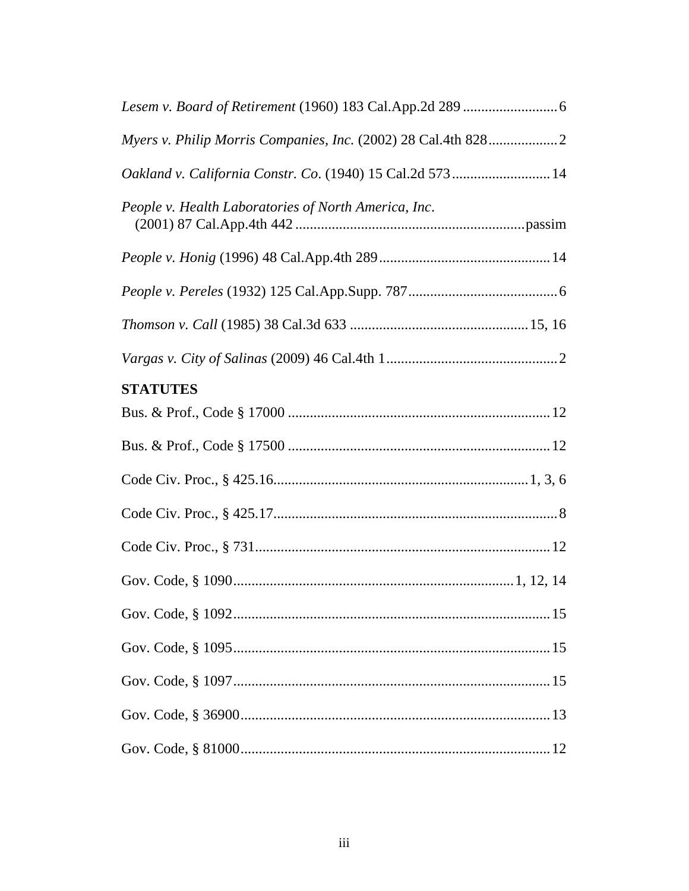| Oakland v. California Constr. Co. (1940) 15 Cal.2d 573  14 |
|------------------------------------------------------------|
| People v. Health Laboratories of North America, Inc.       |
|                                                            |
|                                                            |
|                                                            |
|                                                            |
| <b>STATUTES</b>                                            |
|                                                            |
|                                                            |
|                                                            |
|                                                            |
|                                                            |
|                                                            |
|                                                            |
|                                                            |
|                                                            |
|                                                            |
|                                                            |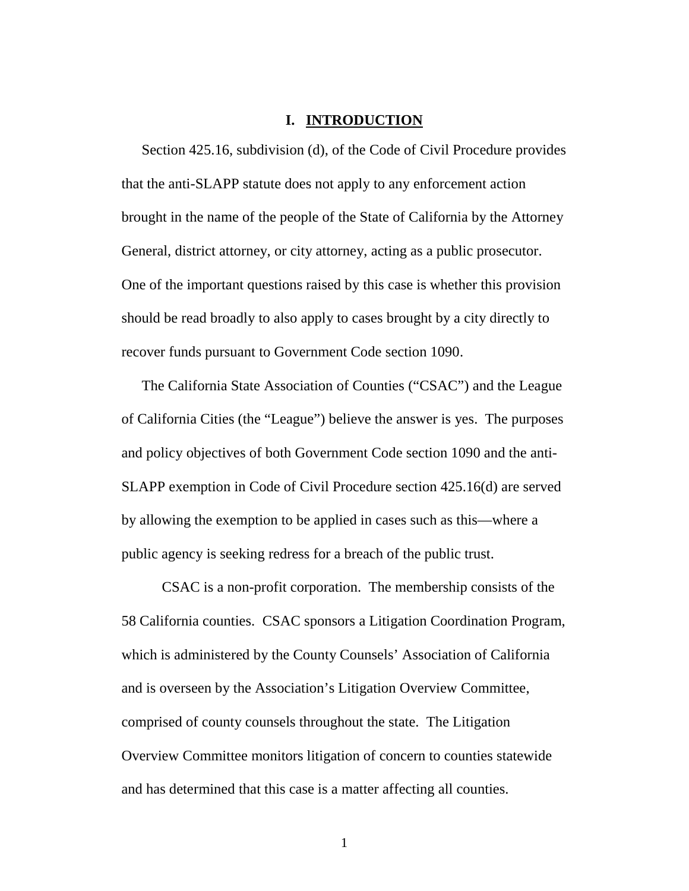#### **I. INTRODUCTION**

<span id="page-8-0"></span>Section 425.16, subdivision (d), of the Code of Civil Procedure provides that the anti-SLAPP statute does not apply to any enforcement action brought in the name of the people of the State of California by the Attorney General, district attorney, or city attorney, acting as a public prosecutor. One of the important questions raised by this case is whether this provision should be read broadly to also apply to cases brought by a city directly to recover funds pursuant to Government Code section 1090.

The California State Association of Counties ("CSAC") and the League of California Cities (the "League") believe the answer is yes. The purposes and policy objectives of both Government Code section 1090 and the anti-SLAPP exemption in Code of Civil Procedure section 425.16(d) are served by allowing the exemption to be applied in cases such as this—where a public agency is seeking redress for a breach of the public trust.

CSAC is a non-profit corporation. The membership consists of the 58 California counties. CSAC sponsors a Litigation Coordination Program, which is administered by the County Counsels' Association of California and is overseen by the Association's Litigation Overview Committee, comprised of county counsels throughout the state. The Litigation Overview Committee monitors litigation of concern to counties statewide and has determined that this case is a matter affecting all counties.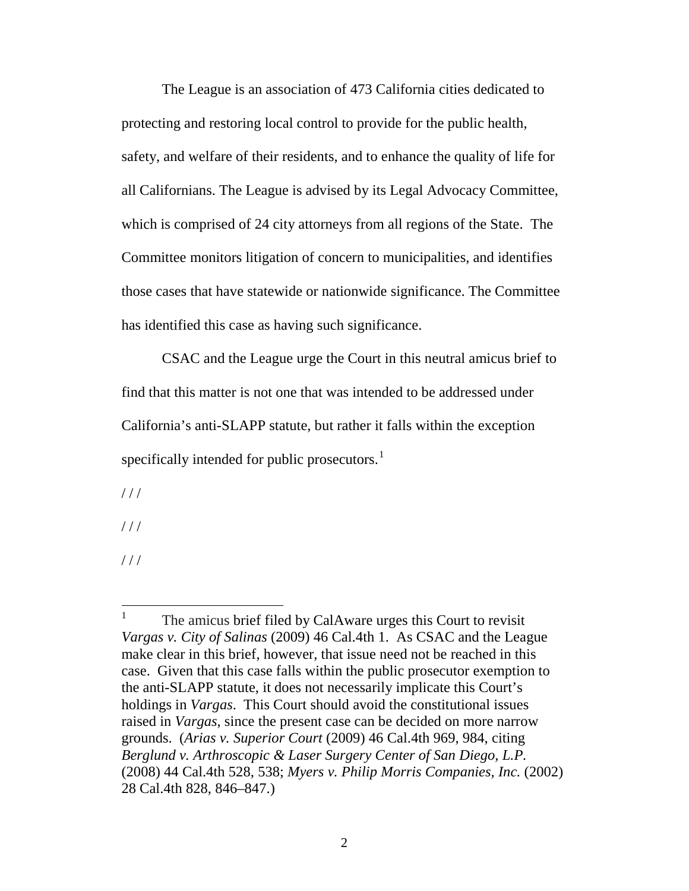The League is an association of 473 California cities dedicated to protecting and restoring local control to provide for the public health, safety, and welfare of their residents, and to enhance the quality of life for all Californians. The League is advised by its Legal Advocacy Committee, which is comprised of 24 city attorneys from all regions of the State. The Committee monitors litigation of concern to municipalities, and identifies those cases that have statewide or nationwide significance. The Committee has identified this case as having such significance.

CSAC and the League urge the Court in this neutral amicus brief to find that this matter is not one that was intended to be addressed under California's anti-SLAPP statute, but rather it falls within the exception specifically intended for public prosecutors. $<sup>1</sup>$  $<sup>1</sup>$  $<sup>1</sup>$ </sup>

 $//$ 

 $1/1$ 

 $1/1$ 

<span id="page-9-0"></span> $1$  The amicus brief filed by CalAware urges this Court to revisit *Vargas v. City of Salinas* (2009) 46 Cal.4th 1. As CSAC and the League make clear in this brief, however, that issue need not be reached in this case. Given that this case falls within the public prosecutor exemption to the anti-SLAPP statute, it does not necessarily implicate this Court's holdings in *Vargas*. This Court should avoid the constitutional issues raised in *Vargas*, since the present case can be decided on more narrow grounds. (*Arias v. Superior Court* (2009) 46 Cal.4th 969, 984, citing *Berglund v. Arthroscopic & Laser Surgery Center of San Diego, L.P.*  (2008) 44 Cal.4th 528, 538; *[Myers v. Philip Morris Companies, Inc.](http://www.lexis.com/research/buttonTFLink?_m=85212ca20099836cffec050c07201a21&_xfercite=%3ccite%20cc%3d%22USA%22%3e%3c%21%5bCDATA%5b46%20Cal.%204th%20969%5d%5d%3e%3c%2fcite%3e&_butType=3&_butStat=2&_butNum=228&_butInline=1&_butinfo=%3ccite%20cc%3d%22USA%22%3e%3c%21%5bCDATA%5b28%20Cal.%204th%20828%2c%20846%5d%5d%3e%3c%2fcite%3e&_fmtstr=FULL&docnum=1&_startdoc=1&wchp=dGLzVzk-zSkAA&_md5=75996afc0e0a66b6dbfc6316f7a26193)* (2002) [28 Cal.4th 828, 846–847.](http://www.lexis.com/research/buttonTFLink?_m=85212ca20099836cffec050c07201a21&_xfercite=%3ccite%20cc%3d%22USA%22%3e%3c%21%5bCDATA%5b46%20Cal.%204th%20969%5d%5d%3e%3c%2fcite%3e&_butType=3&_butStat=2&_butNum=228&_butInline=1&_butinfo=%3ccite%20cc%3d%22USA%22%3e%3c%21%5bCDATA%5b28%20Cal.%204th%20828%2c%20846%5d%5d%3e%3c%2fcite%3e&_fmtstr=FULL&docnum=1&_startdoc=1&wchp=dGLzVzk-zSkAA&_md5=75996afc0e0a66b6dbfc6316f7a26193))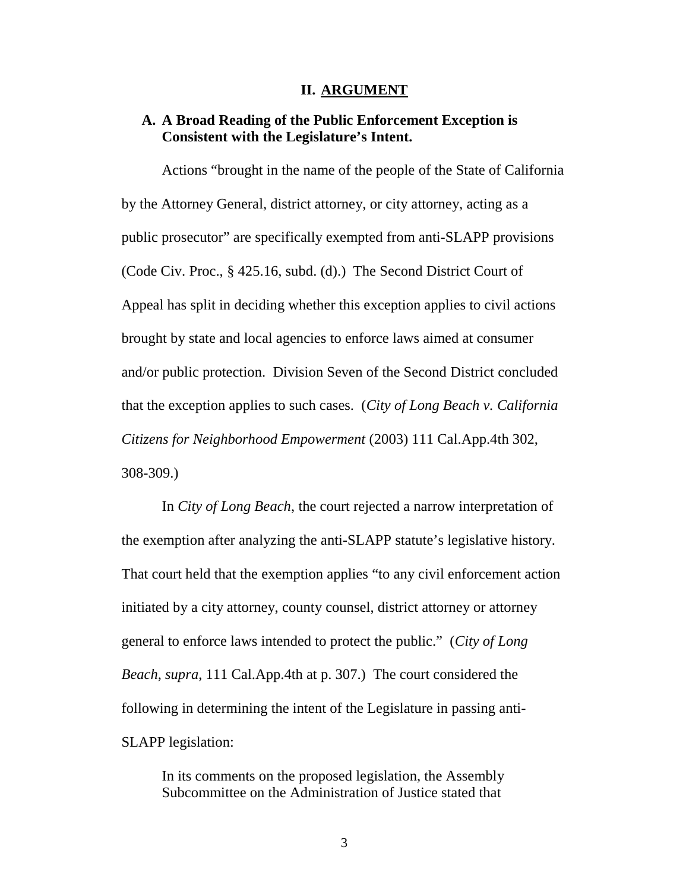#### <span id="page-10-1"></span>**II. ARGUMENT**

#### <span id="page-10-0"></span>**A. A Broad Reading of the Public Enforcement Exception is Consistent with the Legislature's Intent.**

Actions "brought in the name of the people of the State of California by the Attorney General, district attorney, or city attorney, acting as a public prosecutor" are specifically exempted from anti-SLAPP provisions (Code Civ. Proc., § 425.16, subd. (d).) The Second District Court of Appeal has split in deciding whether this exception applies to civil actions brought by state and local agencies to enforce laws aimed at consumer and/or public protection. Division Seven of the Second District concluded that the exception applies to such cases. (*City of Long Beach v. California Citizens for Neighborhood Empowerment* (2003) 111 Cal.App.4th 302, 308-309.)

In *City of Long Beach*, the court rejected a narrow interpretation of the exemption after analyzing the anti-SLAPP statute's legislative history. That court held that the exemption applies "to any civil enforcement action initiated by a city attorney, county counsel, district attorney or attorney general to enforce laws intended to protect the public." (*City of Long Beach, supra*, 111 Cal.App.4th at p. 307.) The court considered the following in determining the intent of the Legislature in passing anti-SLAPP legislation:

In its comments on the proposed legislation, the Assembly Subcommittee on the Administration of Justice stated that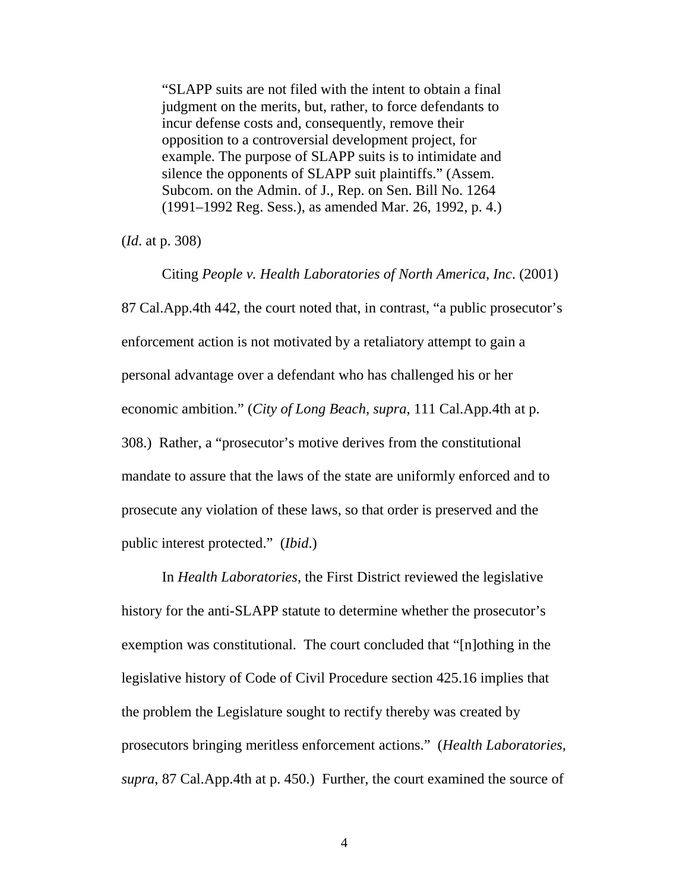"SLAPP suits are not filed with the intent to obtain a final judgment on the merits, but, rather, to force defendants to incur defense costs and, consequently, remove their opposition to a controversial development project, for example. The purpose of SLAPP suits is to intimidate and silence the opponents of SLAPP suit plaintiffs." (Assem. Subcom. on the Admin. of J., Rep. on Sen. Bill No. 1264 (1991–1992 Reg. Sess.), as amended Mar. 26, 1992, p. 4.)

(*Id*. at p. 308)

Citing *People v. Health Laboratories of North America, Inc*. (2001) 87 Cal.App.4th 442, the court noted that, in contrast, "a public prosecutor's enforcement action is not motivated by a retaliatory attempt to gain a personal advantage over a defendant who has challenged his or her economic ambition." (*City of Long Beach, supra*, 111 Cal.App.4th at p. 308.) Rather, a "prosecutor's motive derives from the constitutional mandate to assure that the laws of the state are uniformly enforced and to prosecute any violation of these laws, so that order is preserved and the public interest protected." (*Ibid*.)

In *Health Laboratories*, the First District reviewed the legislative history for the anti-SLAPP statute to determine whether the prosecutor's exemption was constitutional. The court concluded that "[n]othing in the legislative history of Code of Civil Procedure section 425.16 implies that the problem the Legislature sought to rectify thereby was created by prosecutors bringing meritless enforcement actions." (*Health Laboratories, supra*, 87 Cal.App.4th at p. 450.) Further, the court examined the source of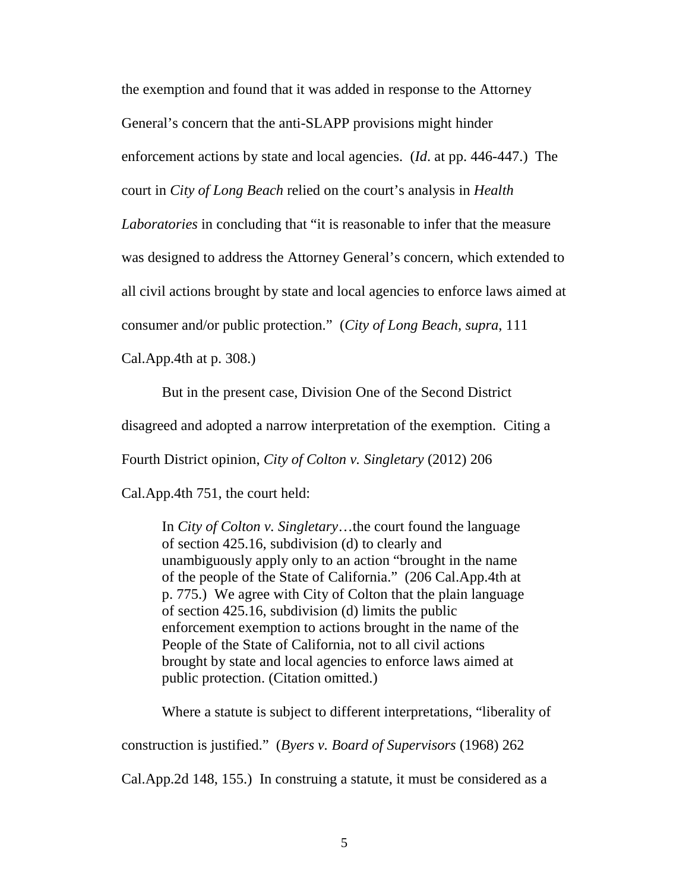the exemption and found that it was added in response to the Attorney

General's concern that the anti-SLAPP provisions might hinder

enforcement actions by state and local agencies. (*Id*. at pp. 446-447.) The

court in *City of Long Beach* relied on the court's analysis in *Health* 

*Laboratories* in concluding that "it is reasonable to infer that the measure

was designed to address the Attorney General's concern, which extended to

all civil actions brought by state and local agencies to enforce laws aimed at

consumer and/or public protection." (*City of Long Beach, supra*, 111

Cal.App.4th at p. 308.)

But in the present case, Division One of the Second District

disagreed and adopted a narrow interpretation of the exemption. Citing a

Fourth District opinion, *City of Colton v. Singletary* (2012) 206

Cal.App.4th 751, the court held:

In *City of Colton v. Singletary*…the court found the language of section 425.16, subdivision (d) to clearly and unambiguously apply only to an action "brought in the name of the people of the State of California." (206 Cal.App.4th at p. 775.) We agree with City of Colton that the plain language of section 425.16, subdivision (d) limits the public enforcement exemption to actions brought in the name of the People of the State of California, not to all civil actions brought by state and local agencies to enforce laws aimed at public protection. (Citation omitted.)

Where a statute is subject to different interpretations, "liberality of

construction is justified." (*Byers v. Board of Supervisors* (1968) 262

Cal.App.2d 148, 155.) In construing a statute, it must be considered as a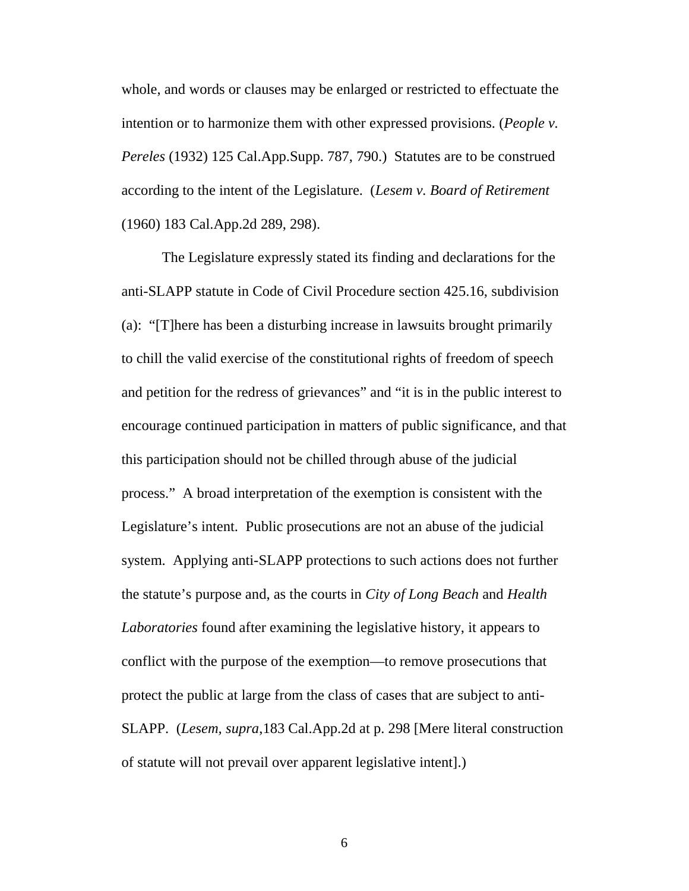whole, and words or clauses may be enlarged or restricted to effectuate the intention or to harmonize them with other expressed provisions. (*People v. Pereles* (1932) 125 Cal.App.Supp. 787, 790.) Statutes are to be construed according to the intent of the Legislature. (*Lesem v. Board of Retirement* (1960) 183 Cal.App.2d 289, 298).

The Legislature expressly stated its finding and declarations for the anti-SLAPP statute in Code of Civil Procedure section 425.16, subdivision (a): "[T]here has been a disturbing increase in lawsuits brought primarily to chill the valid exercise of the constitutional rights of freedom of speech and petition for the redress of grievances" and "it is in the public interest to encourage continued participation in matters of public significance, and that this participation should not be chilled through abuse of the judicial process." A broad interpretation of the exemption is consistent with the Legislature's intent. Public prosecutions are not an abuse of the judicial system. Applying anti-SLAPP protections to such actions does not further the statute's purpose and, as the courts in *City of Long Beach* and *Health Laboratories* found after examining the legislative history, it appears to conflict with the purpose of the exemption—to remove prosecutions that protect the public at large from the class of cases that are subject to anti-SLAPP. (*Lesem, supra*,183 Cal.App.2d at p. 298 [Mere literal construction of statute will not prevail over apparent legislative intent].)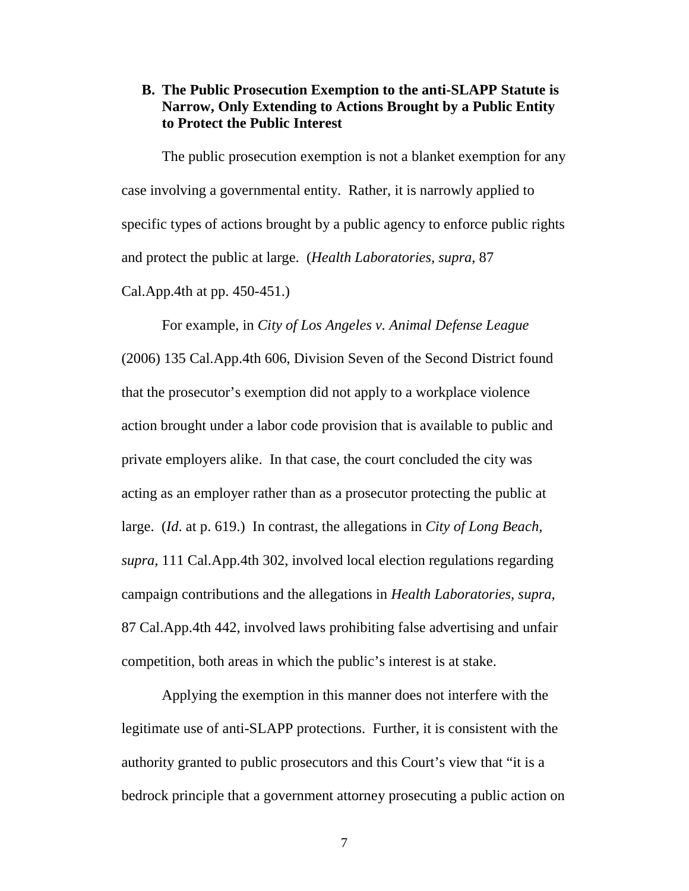#### <span id="page-14-0"></span>**B. The Public Prosecution Exemption to the anti-SLAPP Statute is Narrow, Only Extending to Actions Brought by a Public Entity to Protect the Public Interest**

The public prosecution exemption is not a blanket exemption for any case involving a governmental entity. Rather, it is narrowly applied to specific types of actions brought by a public agency to enforce public rights and protect the public at large. (*Health Laboratories, supra*, 87 Cal.App.4th at pp. 450-451.)

For example, in *City of Los Angeles v. Animal Defense League* (2006) 135 Cal.App.4th 606, Division Seven of the Second District found that the prosecutor's exemption did not apply to a workplace violence action brought under a labor code provision that is available to public and private employers alike. In that case, the court concluded the city was acting as an employer rather than as a prosecutor protecting the public at large. (*Id*. at p. 619.) In contrast, the allegations in *City of Long Beach, supra,* 111 Cal.App.4th 302, involved local election regulations regarding campaign contributions and the allegations in *Health Laboratories, supra*, 87 Cal.App.4th 442, involved laws prohibiting false advertising and unfair competition, both areas in which the public's interest is at stake.

Applying the exemption in this manner does not interfere with the legitimate use of anti-SLAPP protections. Further, it is consistent with the authority granted to public prosecutors and this Court's view that "it is a bedrock principle that a government attorney prosecuting a public action on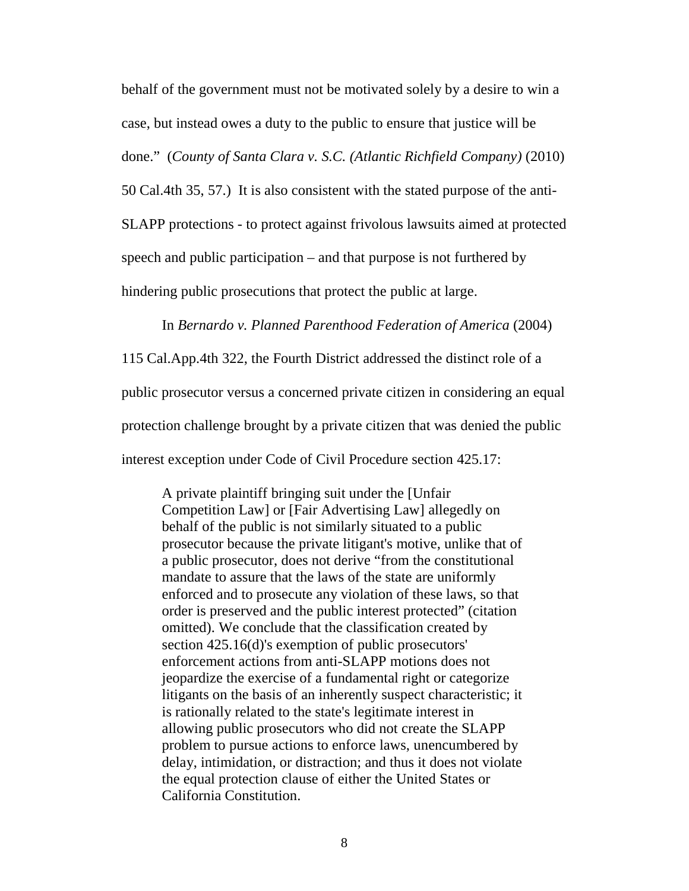behalf of the government must not be motivated solely by a desire to win a case, but instead owes a duty to the public to ensure that justice will be

done." (*County of Santa Clara v. S.C. (Atlantic Richfield Company)* (2010)

50 Cal.4th 35, 57.) It is also consistent with the stated purpose of the anti-

SLAPP protections - to protect against frivolous lawsuits aimed at protected

speech and public participation – and that purpose is not furthered by

hindering public prosecutions that protect the public at large.

In *Bernardo v. Planned Parenthood Federation of America* (2004)

115 Cal.App.4th 322, the Fourth District addressed the distinct role of a

public prosecutor versus a concerned private citizen in considering an equal

protection challenge brought by a private citizen that was denied the public

interest exception under Code of Civil Procedure section 425.17:

A private plaintiff bringing suit under the [Unfair Competition Law] or [Fair Advertising Law] allegedly on behalf of the public is not similarly situated to a public prosecutor because the private litigant's motive, unlike that of a public prosecutor, does not derive "from the constitutional mandate to assure that the laws of the state are uniformly enforced and to prosecute any violation of these laws, so that order is preserved and the public interest protected" (citation omitted). We conclude that the classification created by section 425.16(d)'s exemption of public prosecutors' enforcement actions from anti-SLAPP motions does not jeopardize the exercise of a fundamental right or categorize litigants on the basis of an inherently suspect characteristic; it is rationally related to the state's legitimate interest in allowing public prosecutors who did not create the SLAPP problem to pursue actions to enforce laws, unencumbered by delay, intimidation, or distraction; and thus it does not violate the equal protection clause of either the United States or California Constitution.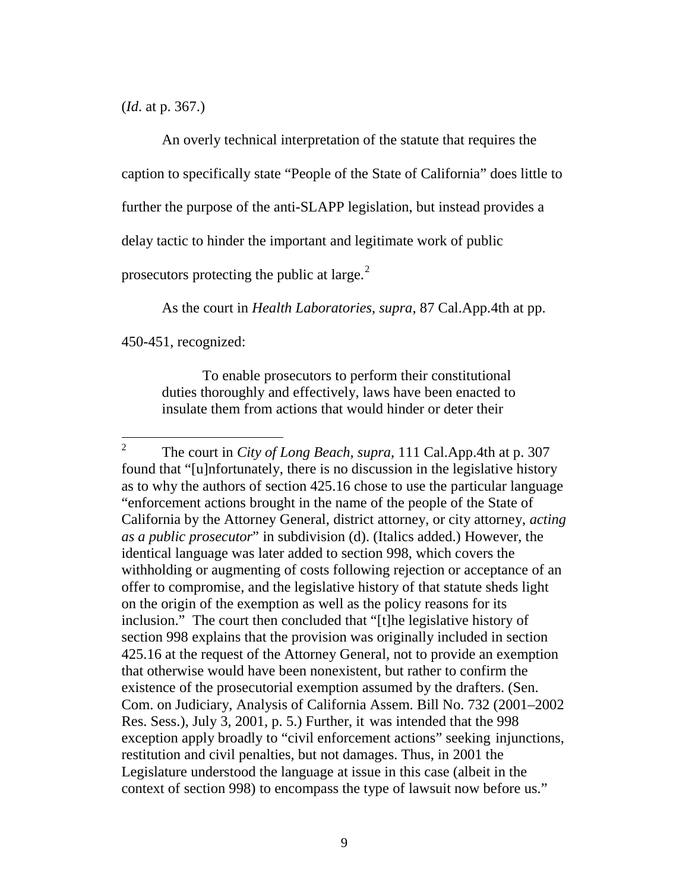(*Id*. at p. 367.)

An overly technical interpretation of the statute that requires the caption to specifically state "People of the State of California" does little to further the purpose of the anti-SLAPP legislation, but instead provides a delay tactic to hinder the important and legitimate work of public prosecutors protecting the public at large. $2$ 

As the court in *Health Laboratories*, *supra*, 87 Cal.App.4th at pp.

450-451, recognized:

To enable prosecutors to perform their constitutional duties thoroughly and effectively, laws have been enacted to insulate them from actions that would hinder or deter their

<span id="page-16-0"></span> <sup>2</sup> The court in *City of Long Beach, supra,* 111 Cal.App.4th at p. 307 found that "[u]nfortunately, there is no discussion in the legislative history as to why the authors of [section 425.16](http://www.lexis.com/research/buttonTFLink?_m=5feccecdd2bf152b5f072e9343d5cd28&_xfercite=%3ccite%20cc%3d%22USA%22%3e%3c%21%5bCDATA%5b111%20Cal.%20App.%204th%20302%5d%5d%3e%3c%2fcite%3e&_butType=4&_butStat=0&_butNum=62&_butInline=1&_butinfo=CAL.%20CIV.%20PROC.%20CODE%20425.16&_fmtstr=FULL&docnum=1&_startdoc=1&wchp=dGLzVzB-zSkAW&_md5=6ae48af8435a40c11d48052a34a4de0e) chose to use the particular language "enforcement actions brought in the name of the people of the State of California by the Attorney General, district attorney, or city attorney, *acting as a public prosecutor*" in [subdivision \(d\).](http://www.lexis.com/research/buttonTFLink?_m=5feccecdd2bf152b5f072e9343d5cd28&_xfercite=%3ccite%20cc%3d%22USA%22%3e%3c%21%5bCDATA%5b111%20Cal.%20App.%204th%20302%5d%5d%3e%3c%2fcite%3e&_butType=4&_butStat=0&_butNum=63&_butInline=1&_butinfo=CAL.%20CIV.%20PROC.%20CODE%20425.16&_fmtstr=FULL&docnum=1&_startdoc=1&wchp=dGLzVzB-zSkAW&_md5=ab667cbd993045501289eb7892cb6df6) (Italics added.) However, the identical language was later added to [section 998,](http://www.lexis.com/research/buttonTFLink?_m=5feccecdd2bf152b5f072e9343d5cd28&_xfercite=%3ccite%20cc%3d%22USA%22%3e%3c%21%5bCDATA%5b111%20Cal.%20App.%204th%20302%5d%5d%3e%3c%2fcite%3e&_butType=4&_butStat=0&_butNum=64&_butInline=1&_butinfo=CAL.%20CIV.%20PROC.%20CODE%20998&_fmtstr=FULL&docnum=1&_startdoc=1&wchp=dGLzVzB-zSkAW&_md5=e36381e487cb3abd6f3bd21d7750ea8b) which covers the withholding or augmenting of costs following rejection or acceptance of an offer to compromise, and the legislative history of that statute sheds light on the origin of the exemption as well as the policy reasons for its inclusion." The court then concluded that "[t]he legislative history of [section 998](http://www.lexis.com/research/buttonTFLink?_m=5feccecdd2bf152b5f072e9343d5cd28&_xfercite=%3ccite%20cc%3d%22USA%22%3e%3c%21%5bCDATA%5b111%20Cal.%20App.%204th%20302%5d%5d%3e%3c%2fcite%3e&_butType=4&_butStat=0&_butNum=68&_butInline=1&_butinfo=CAL.%20CIV.%20PROC.%20CODE%20998&_fmtstr=FULL&docnum=1&_startdoc=1&wchp=dGLzVzB-zSkAW&_md5=43feae4d829b4a3af31ca0a3878c9e4f) explains that the provision was originally included in [section](http://www.lexis.com/research/buttonTFLink?_m=5feccecdd2bf152b5f072e9343d5cd28&_xfercite=%3ccite%20cc%3d%22USA%22%3e%3c%21%5bCDATA%5b111%20Cal.%20App.%204th%20302%5d%5d%3e%3c%2fcite%3e&_butType=4&_butStat=0&_butNum=69&_butInline=1&_butinfo=CAL.%20CIV.%20PROC.%20CODE%20425.16&_fmtstr=FULL&docnum=1&_startdoc=1&wchp=dGLzVzB-zSkAW&_md5=e8009e8e55cb64753301e8ce8c35b79e)  [425.16](http://www.lexis.com/research/buttonTFLink?_m=5feccecdd2bf152b5f072e9343d5cd28&_xfercite=%3ccite%20cc%3d%22USA%22%3e%3c%21%5bCDATA%5b111%20Cal.%20App.%204th%20302%5d%5d%3e%3c%2fcite%3e&_butType=4&_butStat=0&_butNum=69&_butInline=1&_butinfo=CAL.%20CIV.%20PROC.%20CODE%20425.16&_fmtstr=FULL&docnum=1&_startdoc=1&wchp=dGLzVzB-zSkAW&_md5=e8009e8e55cb64753301e8ce8c35b79e) at the request of the Attorney General, not to provide an exemption that otherwise would have been nonexistent, but rather to confirm the existence of the prosecutorial exemption assumed by the drafters. (Sen. Com. on Judiciary, Analysis of California Assem. Bill No. 732 (2001–2002 Res. Sess.), July 3, 2001, p. 5.) Further, it was intended that the 998 exception apply broadly to "civil enforcement actions" seeking injunctions, restitution and civil penalties, but not damages. Thus, in 2001 the Legislature understood the language at issue in this case (albeit in the context of [section 998\)](http://www.lexis.com/research/buttonTFLink?_m=5feccecdd2bf152b5f072e9343d5cd28&_xfercite=%3ccite%20cc%3d%22USA%22%3e%3c%21%5bCDATA%5b111%20Cal.%20App.%204th%20302%5d%5d%3e%3c%2fcite%3e&_butType=4&_butStat=0&_butNum=70&_butInline=1&_butinfo=CAL.%20CIV.%20PROC.%20CODE%20998&_fmtstr=FULL&docnum=1&_startdoc=1&wchp=dGLzVzB-zSkAW&_md5=30b03b95b1c6a41319bf783a41717450) to encompass the type of lawsuit now before us."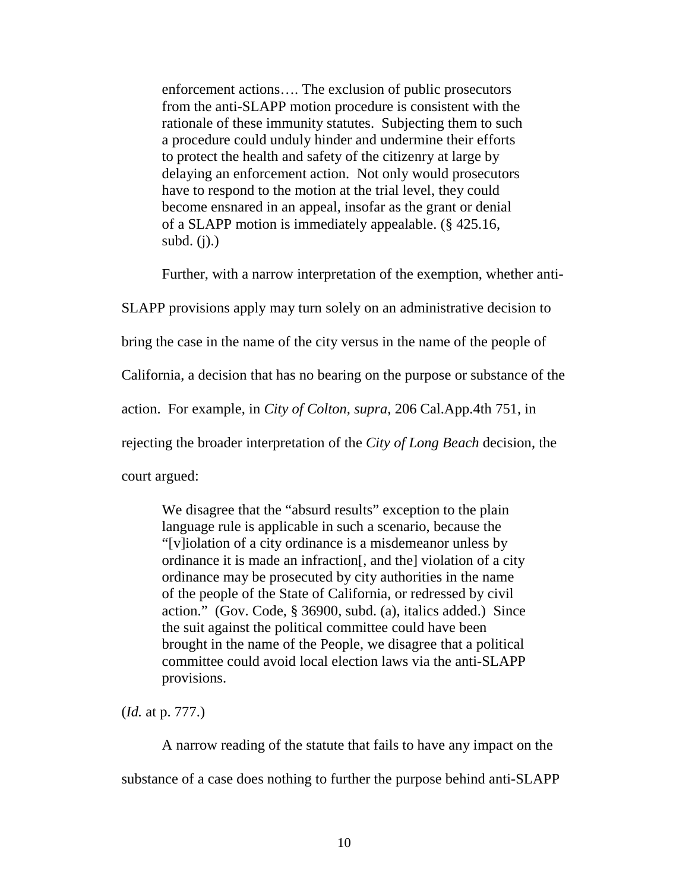enforcement actions…. The exclusion of public prosecutors from the anti-SLAPP motion procedure is consistent with the rationale of these immunity statutes. Subjecting them to such a procedure could unduly hinder and undermine their efforts to protect the health and safety of the citizenry at large by delaying an enforcement action. Not only would prosecutors have to respond to the motion at the trial level, they could become ensnared in an appeal, insofar as the grant or denial of a SLAPP motion is immediately appealable. (§ 425.16, subd.  $(j)$ .)

Further, with a narrow interpretation of the exemption, whether anti-

SLAPP provisions apply may turn solely on an administrative decision to bring the case in the name of the city versus in the name of the people of California, a decision that has no bearing on the purpose or substance of the action. For example, in *City of Colton, supra*, 206 Cal.App.4th 751, in rejecting the broader interpretation of the *City of Long Beach* decision, the court argued:

We disagree that the "absurd results" exception to the plain language rule is applicable in such a scenario, because the "[v]iolation of a city ordinance is a misdemeanor unless by ordinance it is made an infraction[, and the] violation of a city ordinance may be prosecuted by city authorities in the name of the people of the State of California, or redressed by civil action." (Gov. Code, § 36900, subd. (a), italics added.) Since the suit against the political committee could have been brought in the name of the People, we disagree that a political committee could avoid local election laws via the anti-SLAPP provisions.

(*Id.* at p. 777.)

A narrow reading of the statute that fails to have any impact on the substance of a case does nothing to further the purpose behind anti-SLAPP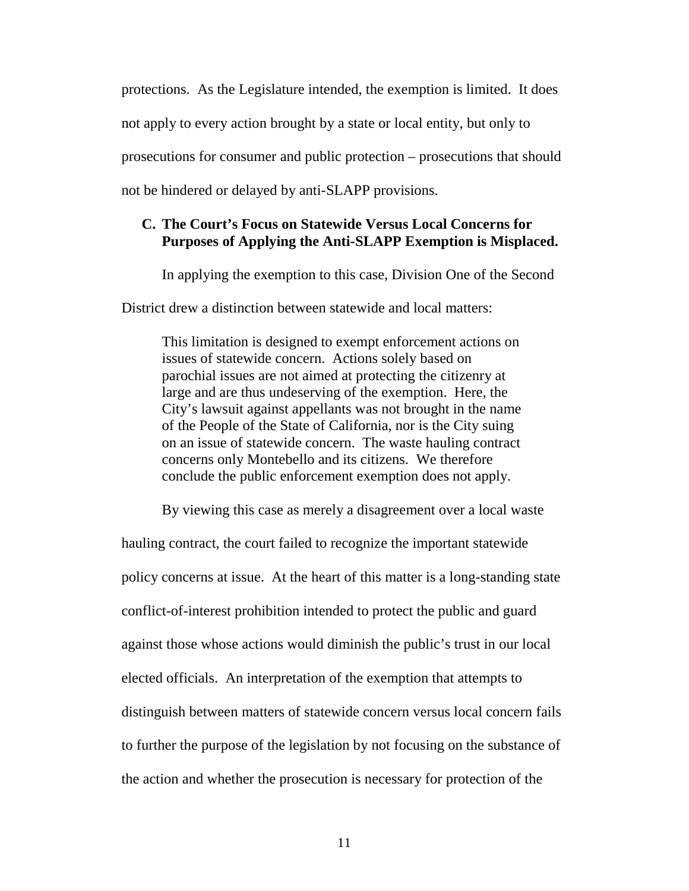protections. As the Legislature intended, the exemption is limited. It does not apply to every action brought by a state or local entity, but only to prosecutions for consumer and public protection – prosecutions that should not be hindered or delayed by anti-SLAPP provisions.

#### **C. The Court's Focus on Statewide Versus Local Concerns for Purposes of Applying the Anti-SLAPP Exemption is Misplaced.**

<span id="page-18-0"></span>In applying the exemption to this case, Division One of the Second

District drew a distinction between statewide and local matters:

This limitation is designed to exempt enforcement actions on issues of statewide concern. Actions solely based on parochial issues are not aimed at protecting the citizenry at large and are thus undeserving of the exemption. Here, the City's lawsuit against appellants was not brought in the name of the People of the State of California, nor is the City suing on an issue of statewide concern. The waste hauling contract concerns only Montebello and its citizens. We therefore conclude the public enforcement exemption does not apply.

By viewing this case as merely a disagreement over a local waste

hauling contract, the court failed to recognize the important statewide policy concerns at issue. At the heart of this matter is a long-standing state conflict-of-interest prohibition intended to protect the public and guard against those whose actions would diminish the public's trust in our local elected officials. An interpretation of the exemption that attempts to distinguish between matters of statewide concern versus local concern fails to further the purpose of the legislation by not focusing on the substance of the action and whether the prosecution is necessary for protection of the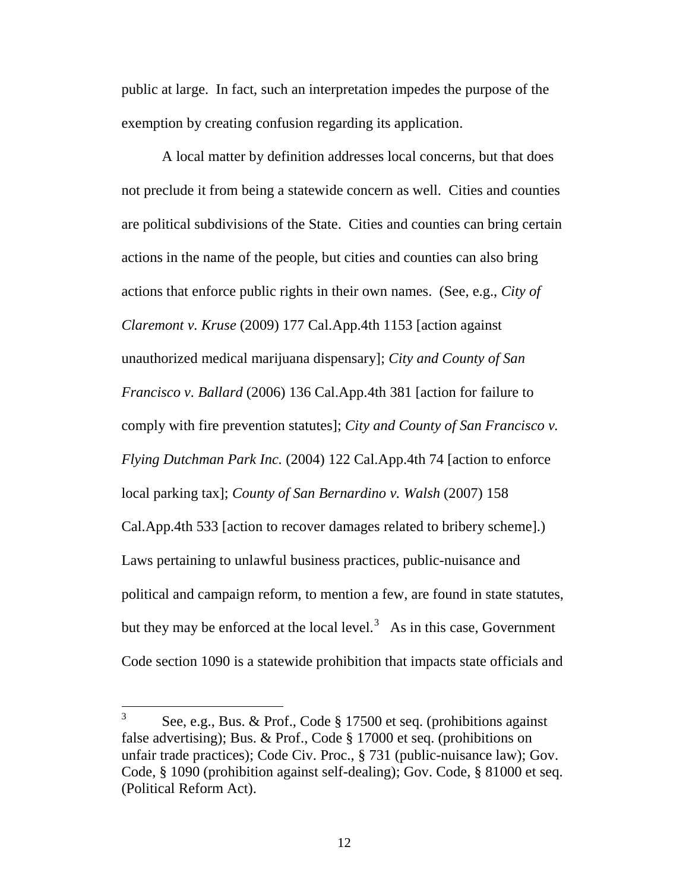public at large. In fact, such an interpretation impedes the purpose of the exemption by creating confusion regarding its application.

A local matter by definition addresses local concerns, but that does not preclude it from being a statewide concern as well. Cities and counties are political subdivisions of the State. Cities and counties can bring certain actions in the name of the people, but cities and counties can also bring actions that enforce public rights in their own names. (See, e.g., *City of Claremont v. Kruse* (2009) 177 Cal.App.4th 1153 [action against unauthorized medical marijuana dispensary]; *City and County of San Francisco v. Ballard* (2006) 136 Cal.App.4th 381 [action for failure to comply with fire prevention statutes]; *City and County of San Francisco v. Flying Dutchman Park Inc.* (2004) 122 Cal.App.4th 74 [action to enforce local parking tax]; *County of San Bernardino v. Walsh* (2007) 158 Cal.App.4th 533 [action to recover damages related to bribery scheme].) Laws pertaining to unlawful business practices, public-nuisance and political and campaign reform, to mention a few, are found in state statutes, but they may be enforced at the local level.<sup>[3](#page-19-0)</sup> As in this case, Government Code section 1090 is a statewide prohibition that impacts state officials and

<span id="page-19-0"></span> $3$  See, e.g., [Bus. & Prof.,](http://www.lexis.com/research/buttonTFLink?_m=1fd85bf01a48d21a1eaee0b97da1a204&_xfercite=%3ccite%20cc%3d%22USA%22%3e%3c%21%5bCDATA%5b115%20Cal.%20App.%204th%20322%5d%5d%3e%3c%2fcite%3e&_butType=4&_butStat=0&_butNum=6&_butInline=1&_butinfo=CAL.%20BUS.%20PROF.%20CODE%2017500&_fmtstr=FULL&docnum=1&_startdoc=1&wchp=dGLbVzt-zSkAb&_md5=7ebb1c3629b2c1cd0343f1d2ba521057) Code § 17500 et seq. (prohibitions against false advertising); [Bus. & Prof., Code §](http://www.lexis.com/research/buttonTFLink?_m=1fd85bf01a48d21a1eaee0b97da1a204&_xfercite=%3ccite%20cc%3d%22USA%22%3e%3c%21%5bCDATA%5b115%20Cal.%20App.%204th%20322%5d%5d%3e%3c%2fcite%3e&_butType=4&_butStat=0&_butNum=5&_butInline=1&_butinfo=CAL.%20BUS.%20PROF.%20CODE%2017200&_fmtstr=FULL&docnum=1&_startdoc=1&wchp=dGLbVzt-zSkAb&_md5=c4e956cfaee96f9b39fec91af88a9896) 17000 et seq. (prohibitions on unfair trade practices); Code Civ. Proc., § 731 (public-nuisance law); Gov. Code, § 1090 (prohibition against self-dealing); Gov. Code, § 81000 et seq. (Political Reform Act).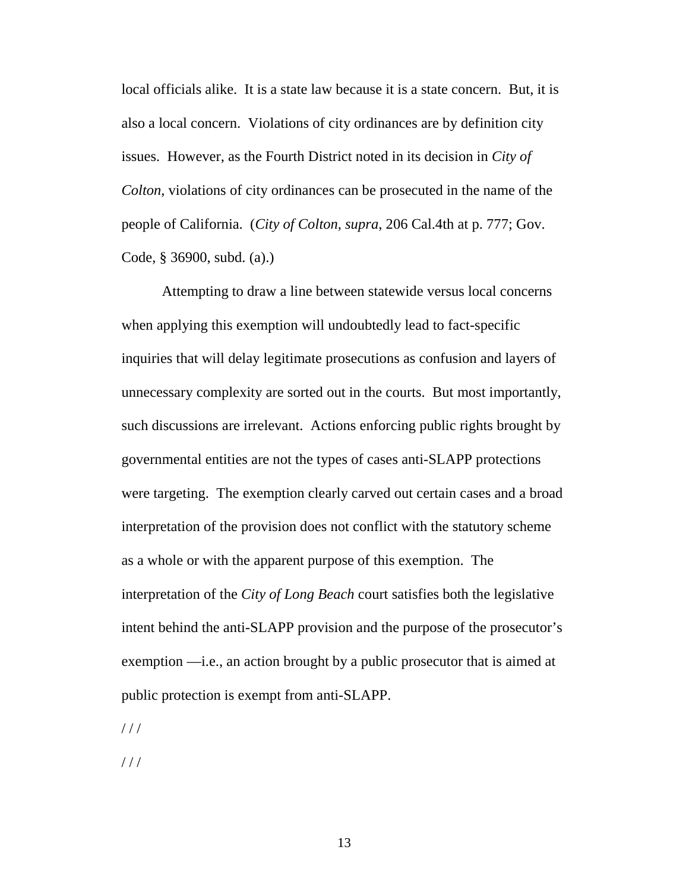local officials alike. It is a state law because it is a state concern. But, it is also a local concern. Violations of city ordinances are by definition city issues. However, as the Fourth District noted in its decision in *City of Colton*, violations of city ordinances can be prosecuted in the name of the people of California. (*City of Colton, supra*, 206 Cal.4th at p. 777; Gov. Code, § 36900, subd. (a).)

Attempting to draw a line between statewide versus local concerns when applying this exemption will undoubtedly lead to fact-specific inquiries that will delay legitimate prosecutions as confusion and layers of unnecessary complexity are sorted out in the courts. But most importantly, such discussions are irrelevant. Actions enforcing public rights brought by governmental entities are not the types of cases anti-SLAPP protections were targeting. The exemption clearly carved out certain cases and a broad interpretation of the provision does not conflict with the statutory scheme as a whole or with the apparent purpose of this exemption. The interpretation of the *City of Long Beach* court satisfies both the legislative intent behind the anti-SLAPP provision and the purpose of the prosecutor's exemption —i.e., an action brought by a public prosecutor that is aimed at public protection is exempt from anti-SLAPP.

 $///$ 

 $///$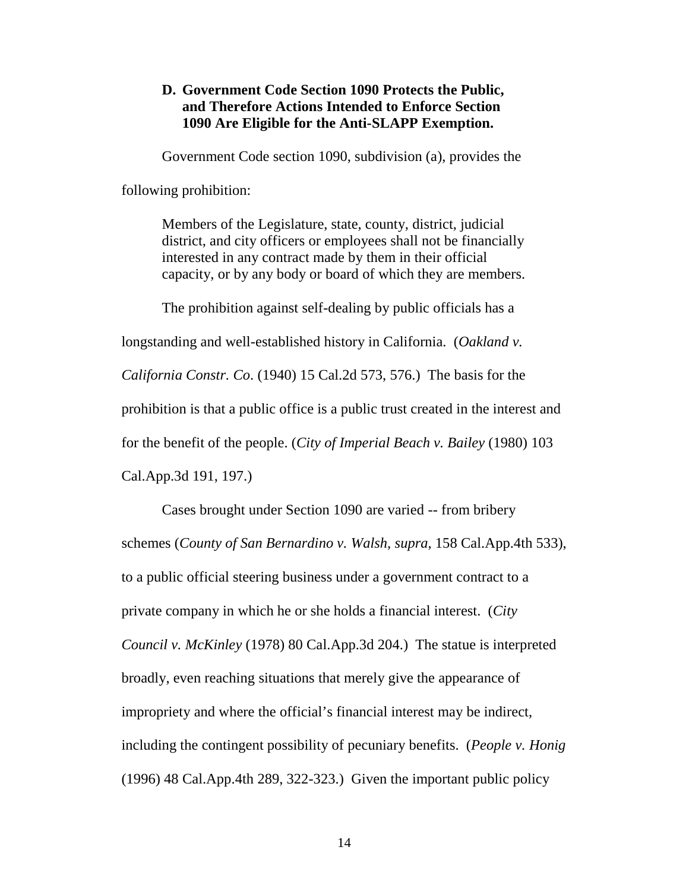#### <span id="page-21-0"></span>**D. Government Code Section 1090 Protects the Public, and Therefore Actions Intended to Enforce Section 1090 Are Eligible for the Anti-SLAPP Exemption.**

Government Code section 1090, subdivision (a), provides the

following prohibition:

Members of the Legislature, state, county, district, judicial district, and city officers or employees shall not be financially interested in any contract made by them in their official capacity, or by any body or board of which they are members.

The prohibition against self-dealing by public officials has a

longstanding and well-established history in California. (*Oakland v.* 

*California Constr. Co*. (1940) 15 Cal.2d 573, 576.) The basis for the

prohibition is that a public office is a public trust created in the interest and

for the benefit of the people. (*City of Imperial Beach v. Bailey* (1980) 103

Cal.App.3d 191, 197.)

Cases brought under Section 1090 are varied -- from bribery schemes (*County of San Bernardino v. Walsh, supra*, 158 Cal.App.4th 533), to a public official steering business under a government contract to a private company in which he or she holds a financial interest. (*City Council v. McKinley* (1978) 80 Cal.App.3d 204.) The statue is interpreted broadly, even reaching situations that merely give the appearance of impropriety and where the official's financial interest may be indirect, including the contingent possibility of pecuniary benefits. (*People v. Honig* (1996) 48 Cal.App.4th 289, 322-323.) Given the important public policy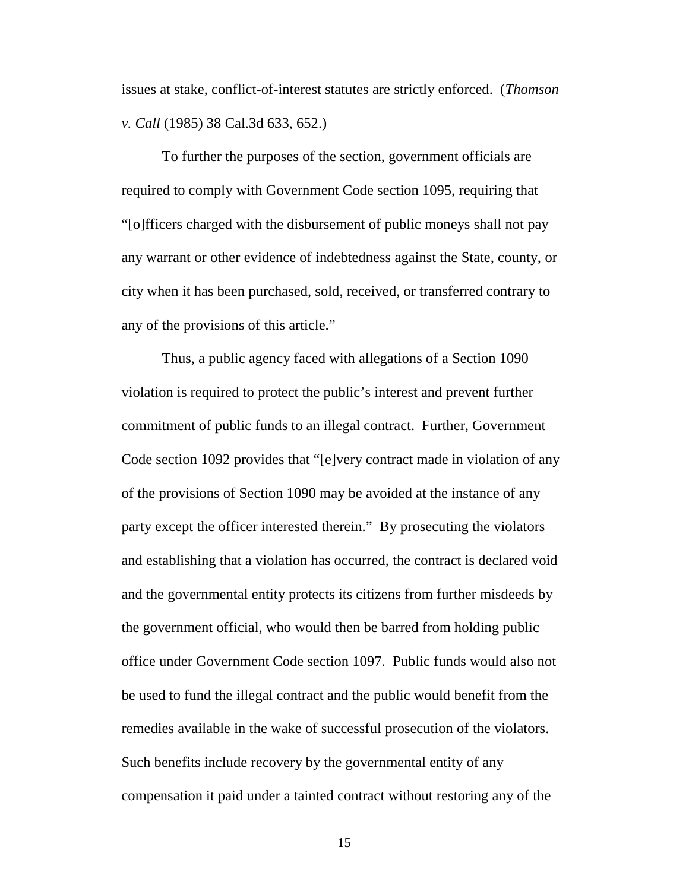issues at stake, conflict-of-interest statutes are strictly enforced. (*Thomson v. Call* (1985) 38 Cal.3d 633, 652.)

To further the purposes of the section, government officials are required to comply with Government Code section 1095, requiring that "[o]fficers charged with the disbursement of public moneys shall not pay any warrant or other evidence of indebtedness against the State, county, or city when it has been purchased, sold, received, or transferred contrary to any of the provisions of this article."

Thus, a public agency faced with allegations of a Section 1090 violation is required to protect the public's interest and prevent further commitment of public funds to an illegal contract. Further, Government Code section 1092 provides that "[e]very contract made in violation of any of the provisions of Section 1090 may be avoided at the instance of any party except the officer interested therein." By prosecuting the violators and establishing that a violation has occurred, the contract is declared void and the governmental entity protects its citizens from further misdeeds by the government official, who would then be barred from holding public office under Government Code section 1097. Public funds would also not be used to fund the illegal contract and the public would benefit from the remedies available in the wake of successful prosecution of the violators. Such benefits include recovery by the governmental entity of any compensation it paid under a tainted contract without restoring any of the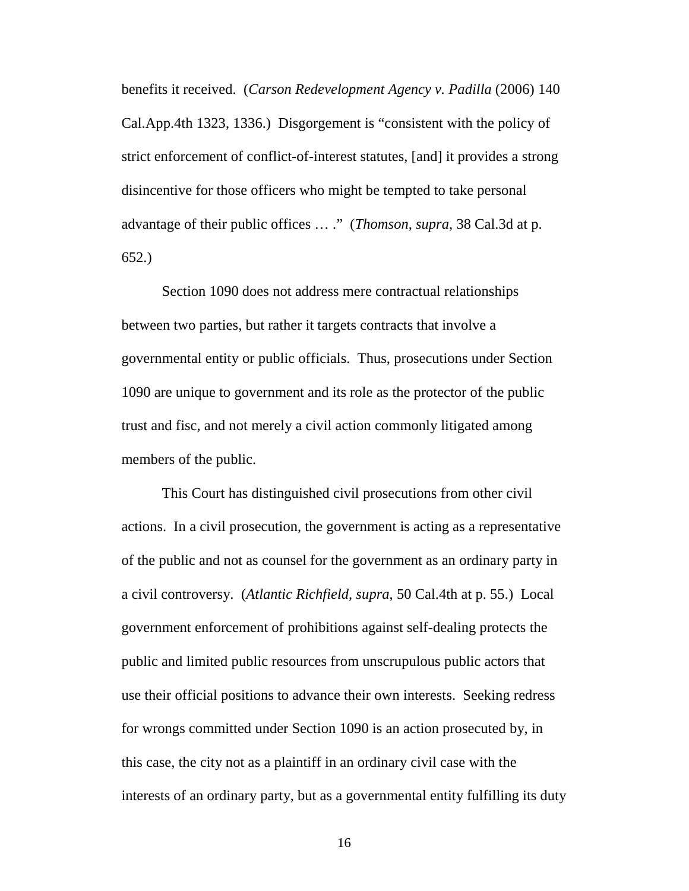benefits it received. (*Carson Redevelopment Agency v. Padilla* (2006) 140 Cal.App.4th 1323, 1336.) Disgorgement is "consistent with the policy of strict enforcement of conflict-of-interest statutes, [and] it provides a strong disincentive for those officers who might be tempted to take personal advantage of their public offices … ." (*Thomson, supra*, 38 Cal.3d at p. 652.)

Section 1090 does not address mere contractual relationships between two parties, but rather it targets contracts that involve a governmental entity or public officials. Thus, prosecutions under Section 1090 are unique to government and its role as the protector of the public trust and fisc, and not merely a civil action commonly litigated among members of the public.

This Court has distinguished civil prosecutions from other civil actions. In a civil prosecution, the government is acting as a representative of the public and not as counsel for the government as an ordinary party in a civil controversy. (*Atlantic Richfield, supra*, 50 Cal.4th at p. 55.) Local government enforcement of prohibitions against self-dealing protects the public and limited public resources from unscrupulous public actors that use their official positions to advance their own interests. Seeking redress for wrongs committed under Section 1090 is an action prosecuted by, in this case, the city not as a plaintiff in an ordinary civil case with the interests of an ordinary party, but as a governmental entity fulfilling its duty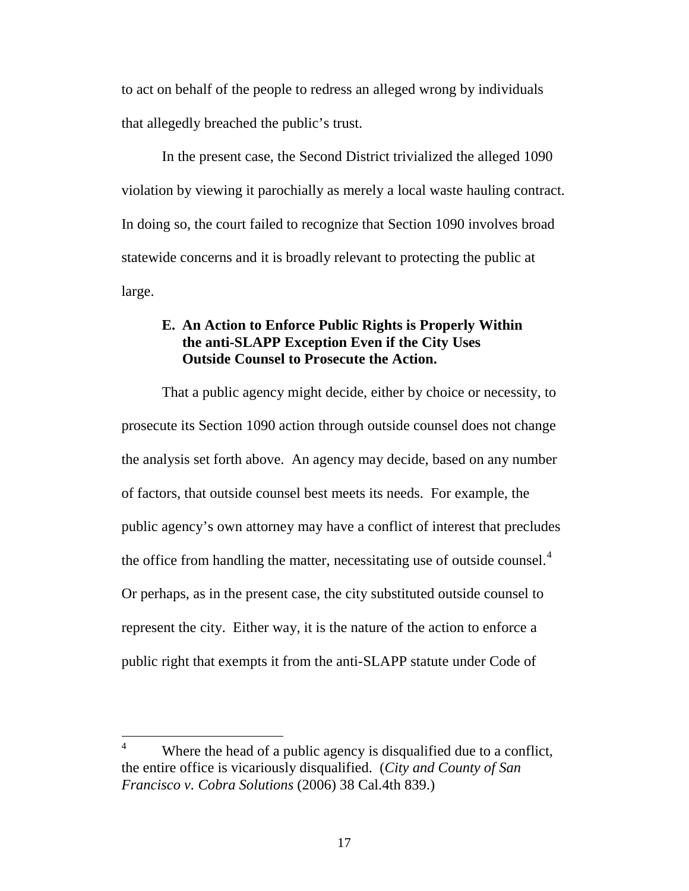to act on behalf of the people to redress an alleged wrong by individuals that allegedly breached the public's trust.

In the present case, the Second District trivialized the alleged 1090 violation by viewing it parochially as merely a local waste hauling contract. In doing so, the court failed to recognize that Section 1090 involves broad statewide concerns and it is broadly relevant to protecting the public at large.

### <span id="page-24-0"></span>**E. An Action to Enforce Public Rights is Properly Within the anti-SLAPP Exception Even if the City Uses Outside Counsel to Prosecute the Action.**

That a public agency might decide, either by choice or necessity, to prosecute its Section 1090 action through outside counsel does not change the analysis set forth above. An agency may decide, based on any number of factors, that outside counsel best meets its needs. For example, the public agency's own attorney may have a conflict of interest that precludes the office from handling the matter, necessitating use of outside counsel. $4$ Or perhaps, as in the present case, the city substituted outside counsel to represent the city. Either way, it is the nature of the action to enforce a public right that exempts it from the anti-SLAPP statute under Code of

<span id="page-24-1"></span><sup>&</sup>lt;sup>4</sup> Where the head of a public agency is disqualified due to a conflict, the entire office is vicariously disqualified. (*City and County of San Francisco v. Cobra Solutions* (2006) 38 Cal.4th 839.)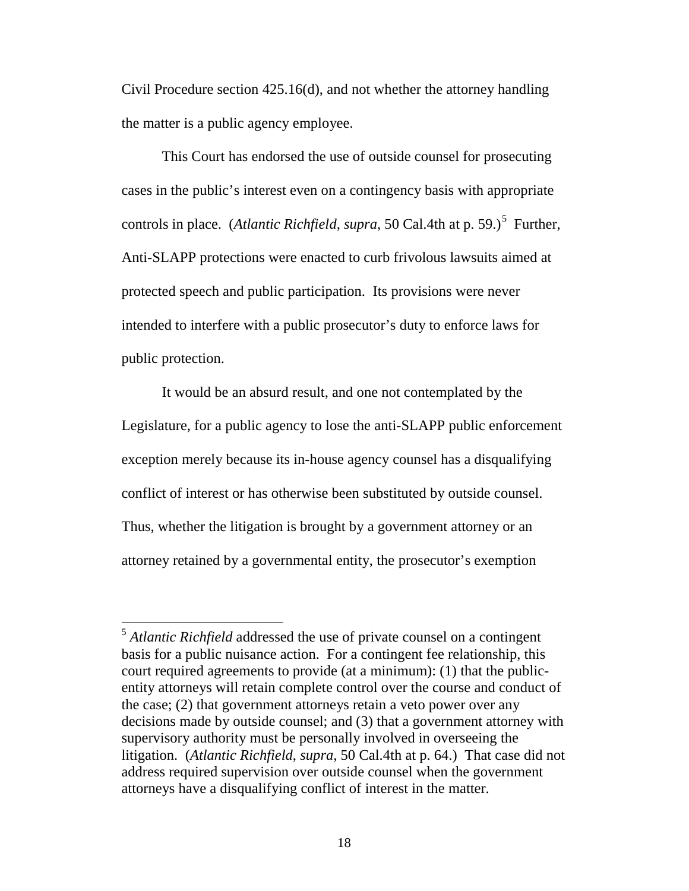Civil Procedure section 425.16(d), and not whether the attorney handling the matter is a public agency employee.

This Court has endorsed the use of outside counsel for prosecuting cases in the public's interest even on a contingency basis with appropriate controls in place. (*Atlantic Richfield, supra*, [5](#page-25-0)0 Cal.4th at p. 59.)<sup>5</sup> Further, Anti-SLAPP protections were enacted to curb frivolous lawsuits aimed at protected speech and public participation. Its provisions were never intended to interfere with a public prosecutor's duty to enforce laws for public protection.

It would be an absurd result, and one not contemplated by the Legislature, for a public agency to lose the anti-SLAPP public enforcement exception merely because its in-house agency counsel has a disqualifying conflict of interest or has otherwise been substituted by outside counsel. Thus, whether the litigation is brought by a government attorney or an attorney retained by a governmental entity, the prosecutor's exemption

<span id="page-25-0"></span> <sup>5</sup> *Atlantic Richfield* addressed the use of private counsel on a contingent basis for a public nuisance action. For a contingent fee relationship, this court required agreements to provide (at a minimum): (1) that the publicentity attorneys will retain complete control over the course and conduct of the case; (2) that government attorneys retain a veto power over any decisions made by outside counsel; and (3) that a government attorney with supervisory authority must be personally involved in overseeing the litigation. (*Atlantic Richfield*, *supra*, 50 Cal.4th at p. 64.) That case did not address required supervision over outside counsel when the government attorneys have a disqualifying conflict of interest in the matter.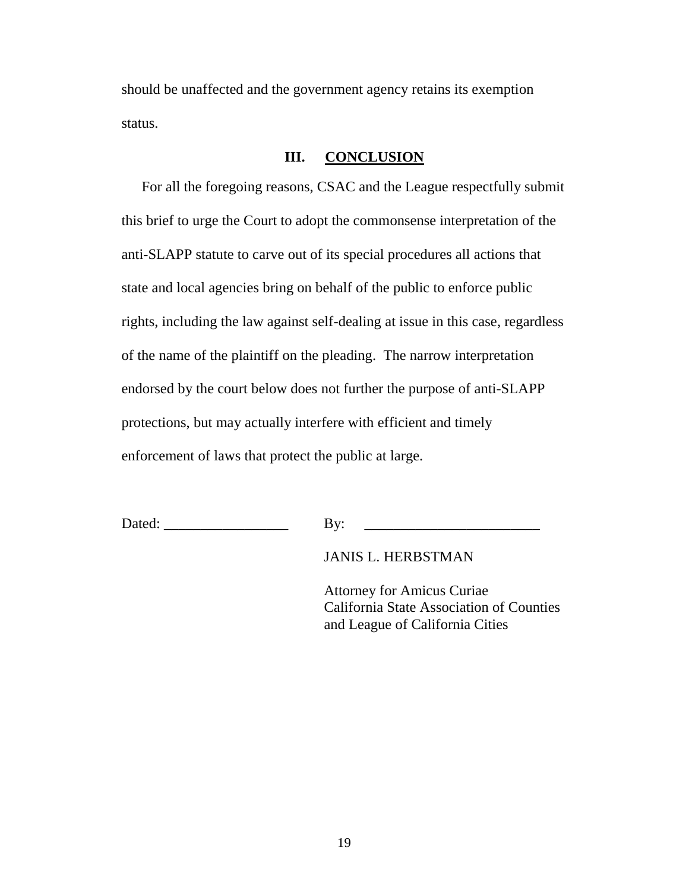should be unaffected and the government agency retains its exemption status.

#### **III. CONCLUSION**

<span id="page-26-0"></span>For all the foregoing reasons, CSAC and the League respectfully submit this brief to urge the Court to adopt the commonsense interpretation of the anti-SLAPP statute to carve out of its special procedures all actions that state and local agencies bring on behalf of the public to enforce public rights, including the law against self-dealing at issue in this case, regardless of the name of the plaintiff on the pleading. The narrow interpretation endorsed by the court below does not further the purpose of anti-SLAPP protections, but may actually interfere with efficient and timely enforcement of laws that protect the public at large.

Dated: \_\_\_\_\_\_\_\_\_\_\_\_\_\_\_\_\_ By: \_\_\_\_\_\_\_\_\_\_\_\_\_\_\_\_\_\_\_\_\_\_\_\_

JANIS L. HERBSTMAN

Attorney for Amicus Curiae California State Association of Counties and League of California Cities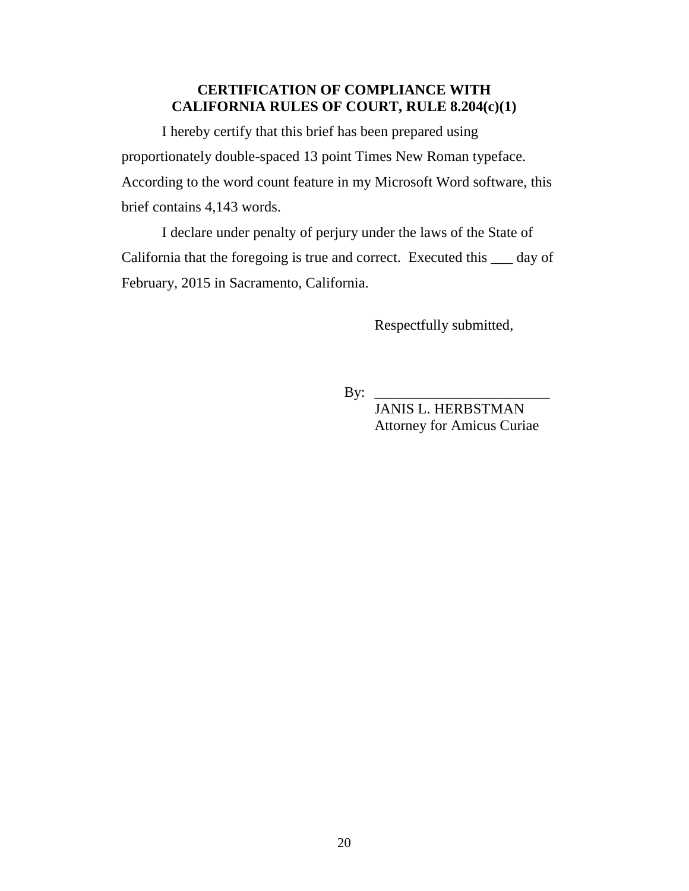## **CERTIFICATION OF COMPLIANCE WITH CALIFORNIA RULES OF COURT, RULE 8.204(c)(1)**

I hereby certify that this brief has been prepared using proportionately double-spaced 13 point Times New Roman typeface. According to the word count feature in my Microsoft Word software, this brief contains 4,143 words.

I declare under penalty of perjury under the laws of the State of California that the foregoing is true and correct. Executed this \_\_\_ day of February, 2015 in Sacramento, California.

<span id="page-27-0"></span>Respectfully submitted,

 $\mathbf{By:}$ 

 JANIS L. HERBSTMAN Attorney for Amicus Curiae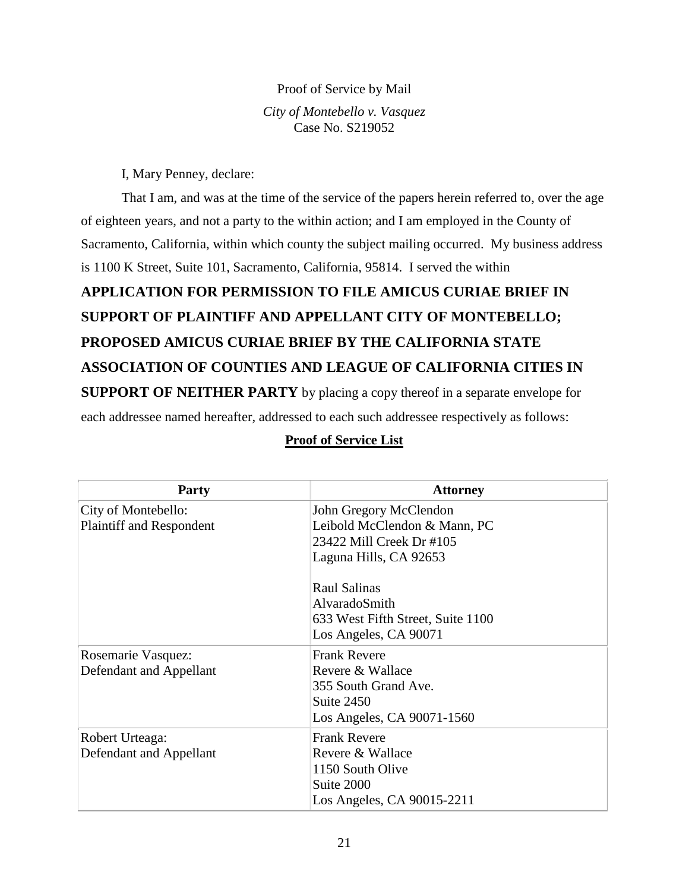#### Proof of Service by Mail

*City of Montebello v. Vasquez* Case No. S219052

I, Mary Penney, declare:

That I am, and was at the time of the service of the papers herein referred to, over the age of eighteen years, and not a party to the within action; and I am employed in the County of Sacramento, California, within which county the subject mailing occurred. My business address is 1100 K Street, Suite 101, Sacramento, California, 95814. I served the within

# **APPLICATION FOR PERMISSION TO FILE AMICUS CURIAE BRIEF IN SUPPORT OF PLAINTIFF AND APPELLANT CITY OF MONTEBELLO; PROPOSED AMICUS CURIAE BRIEF BY THE CALIFORNIA STATE ASSOCIATION OF COUNTIES AND LEAGUE OF CALIFORNIA CITIES IN SUPPORT OF NEITHER PARTY** by placing a copy thereof in a separate envelope for each addressee named hereafter, addressed to each such addressee respectively as follows:

| <b>Party</b>                                           | <b>Attorney</b>                                                                                              |
|--------------------------------------------------------|--------------------------------------------------------------------------------------------------------------|
| City of Montebello:<br><b>Plaintiff and Respondent</b> | John Gregory McClendon<br>Leibold McClendon & Mann, PC<br>23422 Mill Creek Dr #105<br>Laguna Hills, CA 92653 |
|                                                        | Raul Salinas<br>AlvaradoSmith<br>633 West Fifth Street, Suite 1100<br>Los Angeles, CA 90071                  |
| Rosemarie Vasquez:<br>Defendant and Appellant          | <b>Frank Revere</b><br>Revere & Wallace<br>355 South Grand Ave.<br>Suite 2450<br>Los Angeles, CA 90071-1560  |
| Robert Urteaga:<br>Defendant and Appellant             | <b>Frank Revere</b><br>Revere & Wallace<br>1150 South Olive<br>Suite 2000<br>Los Angeles, CA 90015-2211      |

#### **Proof of Service List**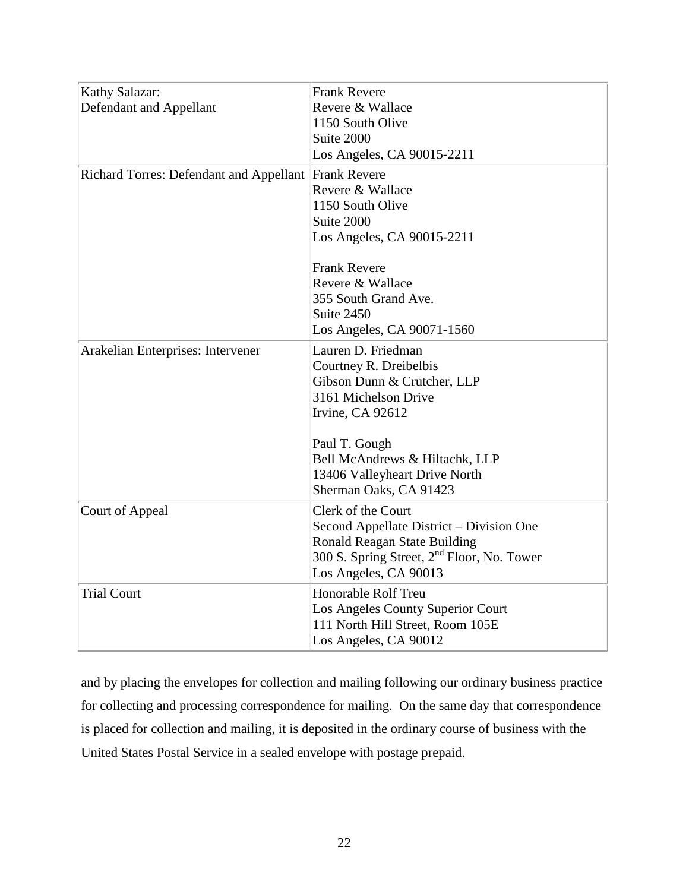| Kathy Salazar:<br>Defendant and Appellant            | <b>Frank Revere</b><br>Revere & Wallace<br>1150 South Olive<br>Suite 2000<br>Los Angeles, CA 90015-2211                                                                           |
|------------------------------------------------------|-----------------------------------------------------------------------------------------------------------------------------------------------------------------------------------|
| Richard Torres: Defendant and Appellant Frank Revere | Revere & Wallace<br>1150 South Olive<br>Suite 2000<br>Los Angeles, CA 90015-2211                                                                                                  |
|                                                      | <b>Frank Revere</b><br>Revere & Wallace<br>355 South Grand Ave.<br>Suite 2450<br>Los Angeles, CA 90071-1560                                                                       |
| Arakelian Enterprises: Intervener                    | Lauren D. Friedman<br>Courtney R. Dreibelbis<br>Gibson Dunn & Crutcher, LLP<br>3161 Michelson Drive<br>Irvine, CA 92612<br>Paul T. Gough<br>Bell McAndrews & Hiltachk, LLP        |
|                                                      | 13406 Valleyheart Drive North<br>Sherman Oaks, CA 91423                                                                                                                           |
| Court of Appeal                                      | Clerk of the Court<br>Second Appellate District – Division One<br>Ronald Reagan State Building<br>300 S. Spring Street, 2 <sup>nd</sup> Floor, No. Tower<br>Los Angeles, CA 90013 |
| <b>Trial Court</b>                                   | <b>Honorable Rolf Treu</b><br>Los Angeles County Superior Court<br>111 North Hill Street, Room 105E<br>Los Angeles, CA 90012                                                      |

and by placing the envelopes for collection and mailing following our ordinary business practice for collecting and processing correspondence for mailing. On the same day that correspondence is placed for collection and mailing, it is deposited in the ordinary course of business with the United States Postal Service in a sealed envelope with postage prepaid.